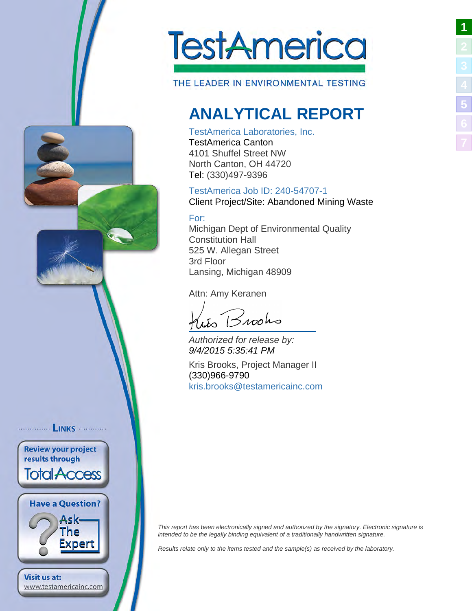

THE LEADER IN ENVIRONMENTAL TESTING

# <span id="page-0-1"></span>**ANALYTICAL REPORT**

#### TestAmerica Laboratories, Inc.

TestAmerica Canton 4101 Shuffel Street NW North Canton, OH 44720 Tel: (330)497-9396

#### TestAmerica Job ID: 240-54707-1 Client Project/Site: Abandoned Mining Waste

### For:

Michigan Dept of Environmental Quality Constitution Hall 525 W. Allegan Street 3rd Floor Lansing, Michigan 48909

Attn: Amy Keranen

 $B$ 100ho

Authorized for release by: 9/4/2015 5:35:41 PM

Kris Brooks, Project Manager II (330)966-9790 [kris.brooks@testamericainc.](mailto:kris.brooks@testamericainc.com)com

<span id="page-0-2"></span>This report has been electronically signed and authorized by the signatory. Electronic signature is intended to be the legally binding equivalent of a traditionally handwritten signature.

Results relate only to the items tested and the sample(s) as received by the laboratory.

<span id="page-0-0"></span>**LINKS** ........... **Review your project** results through **Total Access Have a Question?** Ask-The Expert **Visit us at:** www.testamericainc.com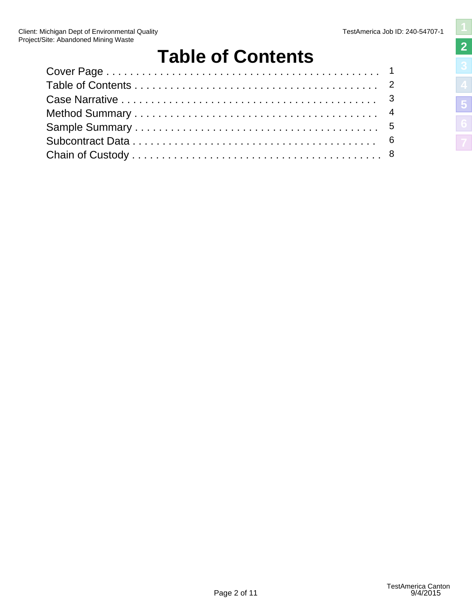# <span id="page-1-1"></span>**Table of Contents**

<span id="page-1-2"></span><span id="page-1-0"></span>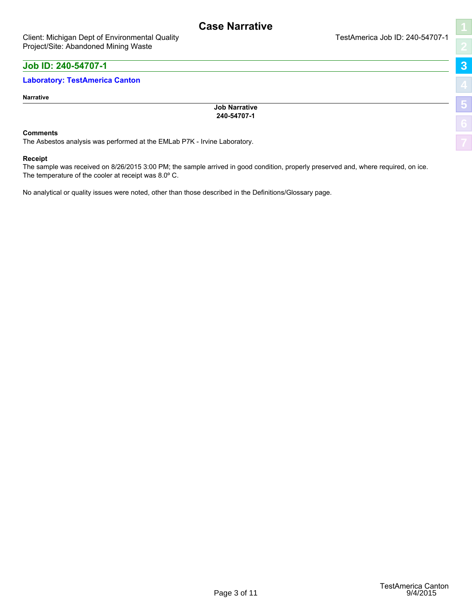# <span id="page-2-1"></span>**[3](#page-2-0) [5](#page-4-0)**

## <span id="page-2-0"></span>**Job ID: 240-54707-1**

#### **Laboratory: TestAmerica Canton**

#### **Narrative**

**Job Narrative 240-54707-1**

#### **Comments**

The Asbestos analysis was performed at the EMLab P7K - Irvine Laboratory.

#### **Receipt**

The sample was received on 8/26/2015 3:00 PM; the sample arrived in good condition, properly preserved and, where required, on ice. The temperature of the cooler at receipt was 8.0º C.

<span id="page-2-2"></span>No analytical or quality issues were noted, other than those described in the Definitions/Glossary page.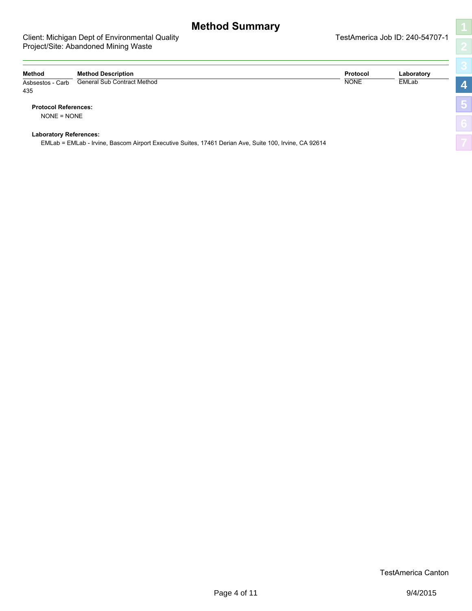#### <span id="page-3-0"></span>Client: Michigan Dept of Environmental Quality Client: Michigan Dept of Environmental Quality Project/Site: Abandoned Mining Waste

<span id="page-3-1"></span>

| I                  |
|--------------------|
|                    |
| K                  |
| $\frac{1}{2}$<br>ļ |
|                    |
|                    |
|                    |
|                    |
|                    |

| Method                      | <b>Method Description</b>          | Protocol    | Laboratory |    |
|-----------------------------|------------------------------------|-------------|------------|----|
| Asbsestos - Carb<br>435     | <b>General Sub Contract Method</b> | <b>NONE</b> | EMLab      |    |
| <b>Protocol References:</b> |                                    |             |            | v. |
| $NONE = NONE$               |                                    |             |            |    |

**Laboratory References:**

<span id="page-3-2"></span>EMLab = EMLab - Irvine, Bascom Airport Executive Suites, 17461 Derian Ave, Suite 100, Irvine, CA 92614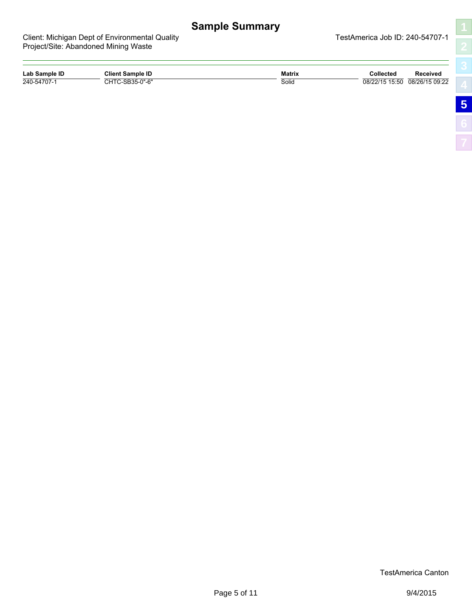# <span id="page-4-1"></span>**Sample Summary**

Elity **Client: Michigan Dept of TestAmerica Job ID: 240-54707-1** 

<span id="page-4-0"></span>

| Client: Michigan Dept of Environmental Qualit |  |  |
|-----------------------------------------------|--|--|
| Project/Site: Abandoned Mining Waste          |  |  |

| Lab Sample ID | <b>Client Sample ID</b> | <b>Matrix</b> | Collected      | Received       |
|---------------|-------------------------|---------------|----------------|----------------|
| 240-54707-1   | "C-SB35-0"-6<br>CUTC    | Solid         | 08/22/15 15:50 | 08/26/15 09:22 |

<span id="page-4-2"></span>TestAmerica Canton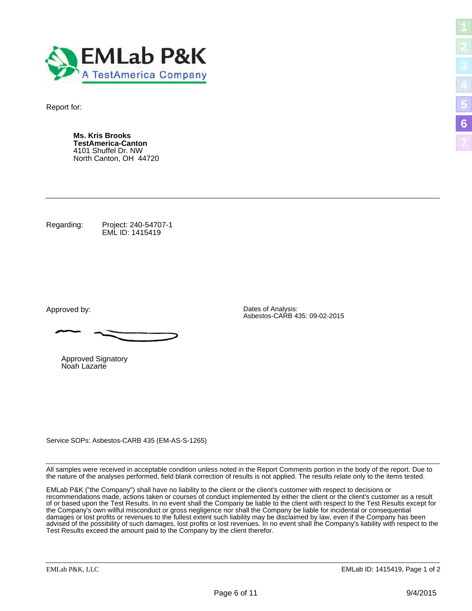<span id="page-5-0"></span>

Report for:

**Ms. Kris Brooks TestAmerica-Canton** 4101 Shuffel Dr. NW North Canton, OH 44720

Regarding: Project: 240-54707-1 EML ID: 1415419

Approved by: Dates of Analysis:

Approved Signatory Noah Lazarte

Service SOPs: Asbestos-CARB 435 (EM-AS-S-1265)

<span id="page-5-2"></span>All samples were received in acceptable condition unless noted in the Report Comments portion in the body of the report. Due to the nature of the analyses performed, field blank correction of results is not applied. The results relate only to the items tested.

Asbestos-CARB 435: 09-02-2015

EMLab P&K ("the Company") shall have no liability to the client or the client's customer with respect to decisions or recommendations made, actions taken or courses of conduct implemented by either the client or the client's customer as a result of or based upon the Test Results. In no event shall the Company be liable to the client with respect to the Test Results except for the Company's own willful misconduct or gross negligence nor shall the Company be liable for incidental or consequential damages or lost profits or revenues to the fullest extent such liability may be disclaimed by law, even if the Company has been advised of the possibility of such damages, lost profits or lost revenues. In no event shall the Company's liability with respect to the Test Results exceed the amount paid to the Company by the client therefor.

<span id="page-5-1"></span>**[5](#page-4-0)**

**[6](#page-5-0)**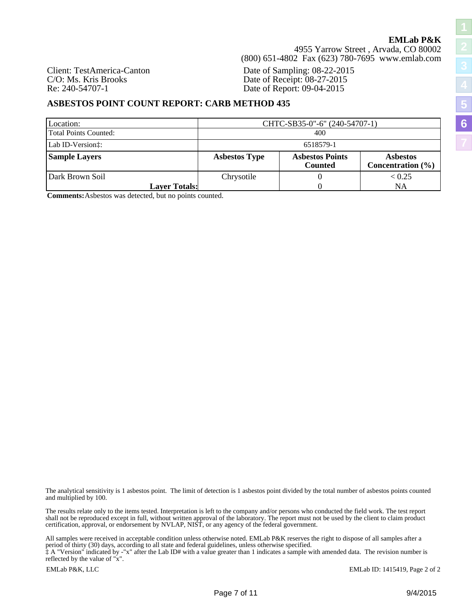4955 Yarrow Street , Arvada, CO 80002 (800) 651-4802 Fax (623) 780-7695 www.emlab.com

Client: TestAmerica-Canton Date of Sampling: 08-22-2015 C/O: Ms. Kris Brooks Date of Receipt: 08-27-2015<br>
Re: 240-54707-1 Date of Report: 09-04-2015 Date of Report: 09-04-2015

#### **ASBESTOS POINT COUNT REPORT: CARB METHOD 435**

| Location:<br>Total Points Counted: | CHTC-SB35-0"-6" (240-54707-1)<br>400 |                                          |                                          |  |  |  |  |  |  |  |  |
|------------------------------------|--------------------------------------|------------------------------------------|------------------------------------------|--|--|--|--|--|--|--|--|
| Lab ID-Version:                    | 6518579-1                            |                                          |                                          |  |  |  |  |  |  |  |  |
| <b>Sample Layers</b>               | <b>Asbestos Type</b>                 | <b>Asbestos Points</b><br><b>Counted</b> | <b>Asbestos</b><br>Concentration $(\% )$ |  |  |  |  |  |  |  |  |
| Dark Brown Soil                    | Chrysotile                           |                                          | < 0.25                                   |  |  |  |  |  |  |  |  |
| <b>Layer Totals:</b>               |                                      |                                          | NA                                       |  |  |  |  |  |  |  |  |

**Comments:**Asbestos was detected, but no points counted.

The analytical sensitivity is 1 asbestos point. The limit of detection is 1 asbestos point divided by the total number of asbestos points counted and multiplied by 100.

The results relate only to the items tested. Interpretation is left to the company and/or persons who conducted the field work. The test report shall not be reproduced except in full, without written approval of the laboratory. The report must not be used by the client to claim product certification, approval, or endorsement by NVLAP, NIST, or any agency of the federal government.

All samples were received in acceptable condition unless otherwise noted. EMLab P&K reserves the right to dispose of all samples after a period of thirty (30) days, according to all state and federal guidelines, unless otherwise specified.

‡ A "Version" indicated by -"x" after the Lab ID# with a value greater than 1 indicates a sample with amended data. The revision number is reflected by the value of "x".

EMLab ID: 1415419, Page 2 of 2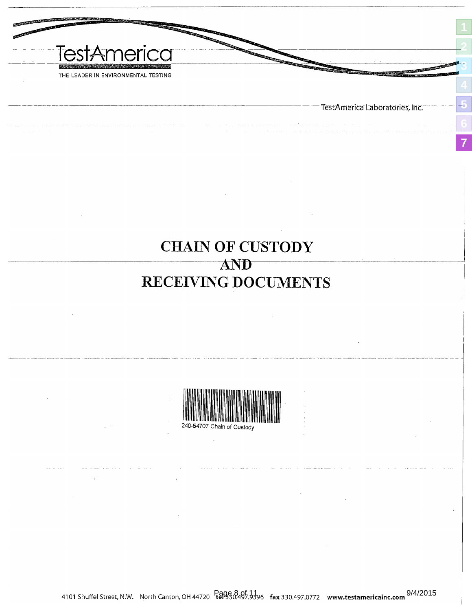<span id="page-7-2"></span><span id="page-7-1"></span><span id="page-7-0"></span>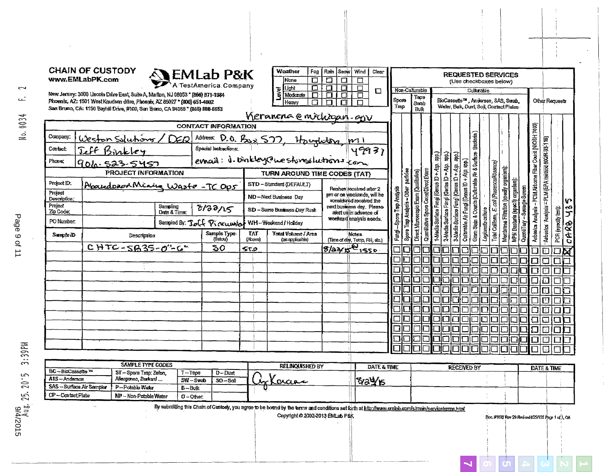|                             | www.EMLabPK.com | New Jersey: 3000 Lincoln Drive East, Suite A, Marlton, NJ 08053 * (866) 871-1984                                                                         |              | <b>SEMLab P&amp;K</b>         |                       | $\Box$<br>None<br>$\overline{\Box}$<br>Light<br><b>PXB</b><br>Moderate<br>$\Box$                                                                                                      | $\Box$<br>$\overline{\mathbf{u}}$<br>$\overline{\textbf{a}}$<br>$\overline{\mathbf{u}}$<br>$\Box$<br>$\Box$ | ⊡<br>П<br>$\Box$<br>П                               | Spore                                                      | Non-Culturable<br>Tape                                                        |                                        |                                                                                        |                                            | (Use checkboxes below)<br>Culturable<br>BioCassette™, Andersen, SAS, Swab, |                                            | <b>REQUESTED SERVICES</b>                                                    |                                         | Other Requests                                                            |
|-----------------------------|-----------------|----------------------------------------------------------------------------------------------------------------------------------------------------------|--------------|-------------------------------|-----------------------|---------------------------------------------------------------------------------------------------------------------------------------------------------------------------------------|-------------------------------------------------------------------------------------------------------------|-----------------------------------------------------|------------------------------------------------------------|-------------------------------------------------------------------------------|----------------------------------------|----------------------------------------------------------------------------------------|--------------------------------------------|----------------------------------------------------------------------------|--------------------------------------------|------------------------------------------------------------------------------|-----------------------------------------|---------------------------------------------------------------------------|
|                             |                 | Phoenix, AZ: 1501 West Knudsen drive, Phoenix, AZ 85027 * (800) 651-4802<br>San Bruno, CA: 1150 Bayhill Drive, #100, San Bruno, CA 94066" (866) 888-6653 |              |                               |                       | п<br>Heavy                                                                                                                                                                            | П<br>П                                                                                                      | П                                                   | Trap                                                       | Swab<br>Bulk                                                                  |                                        |                                                                                        |                                            | Water, Bulk, Dust, Soil, Contact Plates                                    |                                            |                                                                              |                                         |                                                                           |
|                             |                 |                                                                                                                                                          |              |                               |                       | Vieranena e michigan-qu                                                                                                                                                               |                                                                                                             |                                                     |                                                            |                                                                               |                                        |                                                                                        |                                            |                                                                            |                                            |                                                                              |                                         |                                                                           |
|                             |                 |                                                                                                                                                          |              | <b>CONTACT INFORMATION</b>    |                       |                                                                                                                                                                                       |                                                                                                             |                                                     |                                                            |                                                                               |                                        |                                                                                        |                                            |                                                                            |                                            |                                                                              | - PCM Airborne Fiber Count (NIOSH 7400) |                                                                           |
| Company:                    |                 | Weston Solutions / DER                                                                                                                                   |              |                               |                       | Address D.O. Bsx 577, Houghton, m11<br>Spasial Instructions: 1<br>ernail: i. binkley@nestonesluctnions com                                                                            |                                                                                                             |                                                     |                                                            |                                                                               |                                        |                                                                                        |                                            | Bacteria)                                                                  |                                            |                                                                              |                                         |                                                                           |
| Contact:                    |                 | <u>Jeff Binkley</u>                                                                                                                                      |              |                               |                       |                                                                                                                                                                                       |                                                                                                             |                                                     |                                                            |                                                                               | 흷                                      | ਵ੍ਹਿੰ                                                                                  |                                            |                                                                            |                                            |                                                                              |                                         |                                                                           |
| Phone:                      |                 | 906-523-5457                                                                                                                                             |              |                               |                       |                                                                                                                                                                                       |                                                                                                             |                                                     |                                                            |                                                                               |                                        |                                                                                        |                                            |                                                                            |                                            |                                                                              |                                         |                                                                           |
|                             |                 | PROJECT INFORMATION                                                                                                                                      |              |                               |                       | TURN AROUND TIME CODES (TAT)                                                                                                                                                          |                                                                                                             |                                                     | particles                                                  |                                                                               |                                        |                                                                                        |                                            |                                                                            |                                            |                                                                              |                                         |                                                                           |
| Project ID.                 |                 | Abandonad Mining Waste - TC Op5                                                                                                                          |              |                               |                       | STD-Standard (DEFAULT)                                                                                                                                                                |                                                                                                             | Rushes received after 2                             |                                                            |                                                                               |                                        |                                                                                        |                                            |                                                                            |                                            |                                                                              |                                         |                                                                           |
| Project<br>Description:     |                 |                                                                                                                                                          |              |                               |                       | ND-Next Business Day                                                                                                                                                                  |                                                                                                             | prn or on weekends, will he                         |                                                            |                                                                               |                                        |                                                                                        |                                            |                                                                            |                                            |                                                                              |                                         |                                                                           |
| Project                     |                 |                                                                                                                                                          | Sampling     | 0/22/15                       |                       | SD - Same Business Day Rush                                                                                                                                                           |                                                                                                             | sonsidered received the<br>nextbusiness day, Please |                                                            |                                                                               |                                        |                                                                                        |                                            |                                                                            |                                            | -Sevege Screen                                                               |                                         |                                                                           |
| Zip Code:                   |                 |                                                                                                                                                          | Date & Time: |                               |                       |                                                                                                                                                                                       |                                                                                                             | alentualin advance of<br>weekend analysis needs.    |                                                            |                                                                               |                                        |                                                                                        |                                            |                                                                            |                                            |                                                                              |                                         |                                                                           |
| PO Number.                  |                 |                                                                                                                                                          |              |                               |                       | Sampled By: Tell Pierrunder WH-Weekend/Holday                                                                                                                                         |                                                                                                             |                                                     | Spore Trap Analysis - Other<br>Fungi - Spore Trap Analysis |                                                                               | 1-Media Surface Fungi (Genus ID + Asp. |                                                                                        |                                            | Gram Slain & Counts (Culturable Air & Surface<br>Legionella culture        | Total Coliform, E. coll (Presence/Absence) |                                                                              |                                         |                                                                           |
| Sample iD                   |                 | Description <sup>®</sup>                                                                                                                                 |              | Sample Type:<br>(Below)       | TAF.<br>$[^{a}$ Cove) | Total Volume / Area<br>(as applicable)                                                                                                                                                |                                                                                                             | Notes.<br>(Time of day, Temp, AH, etc.)             |                                                            | Direct Microscopic Exam (Qualitativa)<br>Quaniliativa Space Count Direct Exam |                                        | 3-Madia Surface Fungi (Genus ID + Asp. app.)<br>2-Media Surface Fungi (Genus ID + Asp. | Cultrabla Air Fungi (Genus ID + Asp. app.) |                                                                            | Membrane Filtration (specify organism):    | MPN Baotaria (specify organism):<br>$\frac{1}{2}$ contribution $\frac{1}{2}$ | Asheeka Analysia                        | Activistic Product A 13) M.19 = acylerad code-eds.<br>PCR (epecify test): |
|                             |                 | CHTC-SB35-0"-6"                                                                                                                                          |              | 50                            | 550                   |                                                                                                                                                                                       | 8/32/56/1550                                                                                                |                                                     |                                                            |                                                                               |                                        |                                                                                        |                                            |                                                                            |                                            |                                                                              |                                         | O                                                                         |
|                             |                 |                                                                                                                                                          |              |                               |                       |                                                                                                                                                                                       |                                                                                                             |                                                     |                                                            |                                                                               |                                        |                                                                                        |                                            |                                                                            | П                                          | ┑                                                                            | □                                       | $\Box$                                                                    |
|                             |                 |                                                                                                                                                          |              |                               |                       |                                                                                                                                                                                       |                                                                                                             |                                                     |                                                            |                                                                               |                                        |                                                                                        |                                            | H.                                                                         |                                            | □                                                                            | 口                                       | ◫                                                                         |
|                             |                 |                                                                                                                                                          |              |                               |                       |                                                                                                                                                                                       |                                                                                                             |                                                     |                                                            |                                                                               |                                        |                                                                                        |                                            | ЮII                                                                        |                                            | □                                                                            | □                                       | □                                                                         |
|                             |                 |                                                                                                                                                          |              |                               |                       |                                                                                                                                                                                       |                                                                                                             |                                                     |                                                            |                                                                               |                                        | $\Box$                                                                                 |                                            |                                                                            | 31010                                      |                                                                              | $\Box$                                  | ◫                                                                         |
|                             |                 |                                                                                                                                                          |              |                               |                       |                                                                                                                                                                                       |                                                                                                             |                                                     |                                                            |                                                                               |                                        |                                                                                        |                                            |                                                                            |                                            |                                                                              |                                         | □                                                                         |
|                             |                 |                                                                                                                                                          |              |                               |                       |                                                                                                                                                                                       |                                                                                                             |                                                     |                                                            |                                                                               |                                        | П                                                                                      |                                            |                                                                            |                                            |                                                                              |                                         | ◫                                                                         |
|                             |                 |                                                                                                                                                          |              |                               |                       |                                                                                                                                                                                       |                                                                                                             |                                                     |                                                            |                                                                               |                                        | □                                                                                      |                                            |                                                                            |                                            | Ξ                                                                            | □                                       | ⊡                                                                         |
|                             |                 |                                                                                                                                                          |              |                               |                       |                                                                                                                                                                                       |                                                                                                             |                                                     |                                                            |                                                                               |                                        |                                                                                        |                                            | □                                                                          |                                            | $\Box$                                                                       | 口                                       | ⊡                                                                         |
|                             |                 |                                                                                                                                                          |              |                               |                       |                                                                                                                                                                                       |                                                                                                             |                                                     |                                                            |                                                                               |                                        |                                                                                        |                                            | الط                                                                        | ובזו                                       | $\Box \Box$                                                                  | $\Box$<br>П                             | Π<br>П                                                                    |
|                             |                 |                                                                                                                                                          |              |                               |                       |                                                                                                                                                                                       |                                                                                                             |                                                     |                                                            |                                                                               |                                        |                                                                                        |                                            |                                                                            |                                            |                                                                              |                                         |                                                                           |
| BC-BioCassette <sup>m</sup> |                 | SAMPLE TYPE CODES                                                                                                                                        |              |                               |                       | <b>RELINQUISHED BY</b>                                                                                                                                                                |                                                                                                             | DATE & TIME                                         |                                                            |                                                                               |                                        |                                                                                        | <b>RECEIVED BY</b>                         |                                                                            |                                            |                                                                              |                                         | DATE & TIME                                                               |
| A15-Anderson                |                 | ST-Spore Trap: Zefon.<br>Allergenco, Burkard                                                                                                             | $T - T$ ape  | D-Dust<br>$SW-Swab$<br>SO-Sol |                       | -Xarga                                                                                                                                                                                |                                                                                                             | 8346                                                |                                                            |                                                                               |                                        |                                                                                        |                                            |                                                                            |                                            |                                                                              |                                         |                                                                           |
| SAS - Surface Air Sampler   |                 | P-Potable Water                                                                                                                                          | $B - B$ ulk  |                               |                       |                                                                                                                                                                                       |                                                                                                             |                                                     |                                                            |                                                                               |                                        |                                                                                        |                                            |                                                                            |                                            |                                                                              |                                         |                                                                           |
| CP-Contact Plate            |                 | NP - Non-Potable Water                                                                                                                                   | $0$ - Other: |                               |                       |                                                                                                                                                                                       |                                                                                                             |                                                     |                                                            |                                                                               |                                        |                                                                                        |                                            |                                                                            |                                            |                                                                              |                                         |                                                                           |
|                             |                 |                                                                                                                                                          |              |                               |                       | By submitting this Chain of Custody, you agree to be bound by the terms and conditions set forth at http://www.emlab.com/s/mein/serviceterms.html<br>Copyright @ 2002-2013 EMILab P&K |                                                                                                             |                                                     |                                                            |                                                                               |                                        |                                                                                        |                                            |                                                                            |                                            | Doc.#1132 Rev 29 Revised 425/133 Page 1 of 1, OA                             |                                         |                                                                           |

 $\overline{\phantom{a}}$ 

 $\frac{1}{2}$ 

 $\frac{1}{2}$ 

 $\langle 4 \rangle$  $\mathfrak{t}$ 

 $\frac{1}{4}$ 

 $\cdot$ 

 $\sim$  $\frac{1}{3}$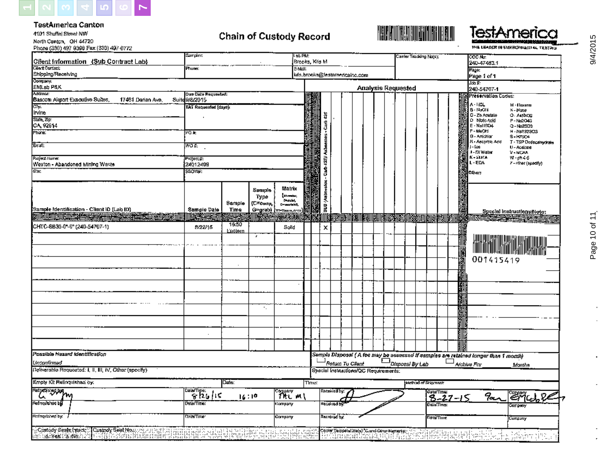

TestAmerica Canton

4101 Shuffel Street NW North Canton, OH 44720<br>Phone (330) 497 9386 Fax (330) 497 0772

## **Chain of Custody Record**



TestAmerica THE LEADER IN SIGNING PEACH AL TRATING

**MA** 

| Cifent Information (Sub Contract Lab)                                                                                                                                | sampler:                              |                   |                                | LSC FMI<br>Brooks, Kris M.                                   |       |                                       |                    |                                                       |                           |  | Canter Tradulng Nots); |                    |            |            |        | <b>COC No:</b><br>240-47483.1                                                                                                                                        |           |                                                                                                                                                                                                                                      |  |
|----------------------------------------------------------------------------------------------------------------------------------------------------------------------|---------------------------------------|-------------------|--------------------------------|--------------------------------------------------------------|-------|---------------------------------------|--------------------|-------------------------------------------------------|---------------------------|--|------------------------|--------------------|------------|------------|--------|----------------------------------------------------------------------------------------------------------------------------------------------------------------------|-----------|--------------------------------------------------------------------------------------------------------------------------------------------------------------------------------------------------------------------------------------|--|
| Clert Contact:<br>Shipping/Receiving                                                                                                                                 | Ffiuna:                               |                   |                                | इतिहास                                                       |       | kds.brooks@testamericainc.com         |                    |                                                       |                           |  |                        |                    |            |            |        | Page:                                                                                                                                                                |           |                                                                                                                                                                                                                                      |  |
| Солтрану.<br>Солтрану<br>EMLeb P&K                                                                                                                                   |                                       |                   |                                |                                                              |       |                                       |                    |                                                       | <b>Analysis Requested</b> |  |                        |                    |            |            |        | Page 1 of 1<br>Joh F.<br>240-54707-1                                                                                                                                 |           |                                                                                                                                                                                                                                      |  |
| Addresa:<br>Bascom Akpart Exsculive Suites,<br>17461 Darian Ave.                                                                                                     | Due Date Regussind:<br>Suite 9/8/2015 |                   |                                |                                                              |       |                                       |                    |                                                       |                           |  |                        |                    |            |            |        | Preservation Codes:<br>A-HOL                                                                                                                                         |           | M - filexane                                                                                                                                                                                                                         |  |
| ल्हा<br>Irvine                                                                                                                                                       | TAT Requested [days]:                 |                   |                                |                                                              |       | ä                                     |                    |                                                       |                           |  |                        |                    |            |            |        | B-NaOh<br>C - Zn Acatale                                                                                                                                             |           | N-None<br>O - Aspartiz                                                                                                                                                                                                               |  |
| State, Zip:<br>CA, 92614<br>Fhona:                                                                                                                                   | PO #                                  |                   |                                |                                                              |       | Ĵ                                     |                    |                                                       |                           |  |                        |                    |            |            |        | D Note told<br>E - NallSO4<br>F-MeOH                                                                                                                                 |           | P-Ne2049<br>Q-Ne2SD3<br>H-NB32303                                                                                                                                                                                                    |  |
| .<br>मृत्यू                                                                                                                                                          | aow                                   |                   |                                |                                                              |       |                                       |                    |                                                       |                           |  |                        |                    |            |            |        | <b>B</b> - Amchion<br>H - Ascortic Add<br>eol-L                                                                                                                      |           | S-H7304<br>T - TSP Dodecamydrate                                                                                                                                                                                                     |  |
| Project Numer:                                                                                                                                                       | ProjecL#:                             |                   |                                |                                                              |       |                                       |                    |                                                       |                           |  |                        |                    |            |            |        | - DI Water<br>К-еппа                                                                                                                                                 |           | U - Acsione<br>V - NICAA<br>$W$ -ph $4-6$                                                                                                                                                                                            |  |
| Weston - Abandoned Mining Waste<br>উফ                                                                                                                                | 24012499<br>SSOVIJI:                  |                   |                                |                                                              |       | <b>Cash 425V Asheettes</b>            |                    |                                                       |                           |  |                        |                    |            |            |        | L-EDA<br>athor:                                                                                                                                                      |           | 7 - niver (seedily)                                                                                                                                                                                                                  |  |
|                                                                                                                                                                      |                                       | Sample            | Sample<br>Туро<br>(C=comp,     | Matrix<br><b>Internation</b><br>$\sim$ 400 km<br>Desarrato), |       | okeesdek) ane                         |                    |                                                       |                           |  |                        |                    |            |            |        |                                                                                                                                                                      |           |                                                                                                                                                                                                                                      |  |
| (Sample identification - Client ID (Lab (D)<br><b>EN LA DE TRANSITION DE L'ARGENTINA DE LA PRODUCTION DE LA PRODUCTION DE LA PRODUCTION DE LA PRODUCTION DE LA P</b> | Sample Date<br>兴州                     | Time              | G=grab} } <del>ா. கூகத</del> ன |                                                              | W     |                                       |                    | <b>DER BEI BEILD BRUCH GEINSTEIN DIE FRANZIERE ER</b> |                           |  |                        |                    |            |            | 圖      |                                                                                                                                                                      |           | Special Instructions Note:<br>KNIII CHARLES IN HELP TO THE TABLE TO THE TABLE TO THE TABLE TO THE TABLE TO THE TABLE TO THE TABLE TO THE TAB<br>AND TABLE TO THE TABLE TO THE TABLE TO THE TABLE TO THE TABLE TO THE TABLE TO THE TA |  |
| CHTC-SB35-0"-6" (240-54707-1)                                                                                                                                        | 8/22/16                               | 15:50<br>Exiclern |                                | Solld                                                        |       | х                                     |                    |                                                       |                           |  |                        |                    |            |            |        |                                                                                                                                                                      |           |                                                                                                                                                                                                                                      |  |
|                                                                                                                                                                      |                                       |                   | У.                             |                                                              |       |                                       |                    |                                                       |                           |  |                        |                    |            |            |        |                                                                                                                                                                      |           |                                                                                                                                                                                                                                      |  |
|                                                                                                                                                                      |                                       |                   |                                |                                                              |       |                                       |                    |                                                       |                           |  |                        |                    |            |            | 國語通    |                                                                                                                                                                      | 001415419 |                                                                                                                                                                                                                                      |  |
|                                                                                                                                                                      |                                       |                   |                                |                                                              |       |                                       |                    |                                                       |                           |  |                        |                    |            |            |        |                                                                                                                                                                      |           |                                                                                                                                                                                                                                      |  |
|                                                                                                                                                                      |                                       |                   |                                |                                                              |       |                                       |                    |                                                       |                           |  |                        |                    |            |            | M<br>H |                                                                                                                                                                      |           |                                                                                                                                                                                                                                      |  |
|                                                                                                                                                                      |                                       |                   |                                |                                                              |       |                                       |                    |                                                       |                           |  |                        |                    |            |            | 駟      |                                                                                                                                                                      |           |                                                                                                                                                                                                                                      |  |
|                                                                                                                                                                      |                                       |                   | ٠.                             |                                                              |       |                                       |                    |                                                       |                           |  |                        |                    |            |            |        |                                                                                                                                                                      |           |                                                                                                                                                                                                                                      |  |
|                                                                                                                                                                      |                                       |                   |                                |                                                              |       |                                       |                    |                                                       |                           |  |                        |                    |            |            |        |                                                                                                                                                                      |           |                                                                                                                                                                                                                                      |  |
|                                                                                                                                                                      | $\cdot$                               |                   |                                |                                                              |       |                                       |                    |                                                       |                           |  |                        |                    |            |            |        |                                                                                                                                                                      |           |                                                                                                                                                                                                                                      |  |
| Possible Hazard Identification                                                                                                                                       |                                       |                   |                                |                                                              |       |                                       |                    |                                                       |                           |  |                        |                    |            |            |        |                                                                                                                                                                      |           |                                                                                                                                                                                                                                      |  |
| Untanfirmad<br>Defiverable Requested: i, ii, iii, iV, Other (specify).                                                                                               |                                       |                   |                                |                                                              |       | Special Instructions/QC Requirements: |                    |                                                       |                           |  |                        |                    |            |            |        | Sample Disposal (A fee may be assessed if samples are related longer than 1 month)<br>$\Box$ Return To Client $\Box$ Disposal By Lab Archive For Mont<br>Archive For |           | Manths                                                                                                                                                                                                                               |  |
| Empty Kit Relinquished by:                                                                                                                                           |                                       | Date:             |                                |                                                              | Time: |                                       |                    |                                                       |                           |  |                        | Method of Stipmont |            |            |        |                                                                                                                                                                      |           |                                                                                                                                                                                                                                      |  |
| Retyrosayyu <sub>mg</sub><br>u                                                                                                                                       | ्रार्गकर्तुं । दु                     | 16:10             |                                | company<br>?NtC m(                                           |       |                                       | Received by:       |                                                       |                           |  |                        |                    | Data/Time: | $8 - 27 -$ |        |                                                                                                                                                                      | an        | <u> Eric ge</u>                                                                                                                                                                                                                      |  |
| Formquished by                                                                                                                                                       | Date/Time:<br>Company                 |                   |                                |                                                              |       |                                       | <b>Hecalved by</b> |                                                       |                           |  |                        |                    | Dala Time: |            |        |                                                                                                                                                                      |           | опрепу                                                                                                                                                                                                                               |  |
| Refriqueand by:                                                                                                                                                      | Dala/Time:<br>Company                 |                   |                                |                                                              |       |                                       | Reciduad by:       |                                                       |                           |  |                        |                    | DeterThis: |            |        |                                                                                                                                                                      |           | Cumpuny                                                                                                                                                                                                                              |  |
| · : Custody Seals (πact; : ΠΩustody Seat No. : :<br>Suustam<br>ෙ ශේෂ කොරෝය<br> 1998  Adamatan meng                                                                   |                                       |                   | <b>START OF ST</b>             | introphets                                                   |       |                                       |                    | Cooler Tennpelatore(s) C.und Canur Remarks;-          |                           |  |                        |                    | ari d      |            |        |                                                                                                                                                                      |           |                                                                                                                                                                                                                                      |  |

٠